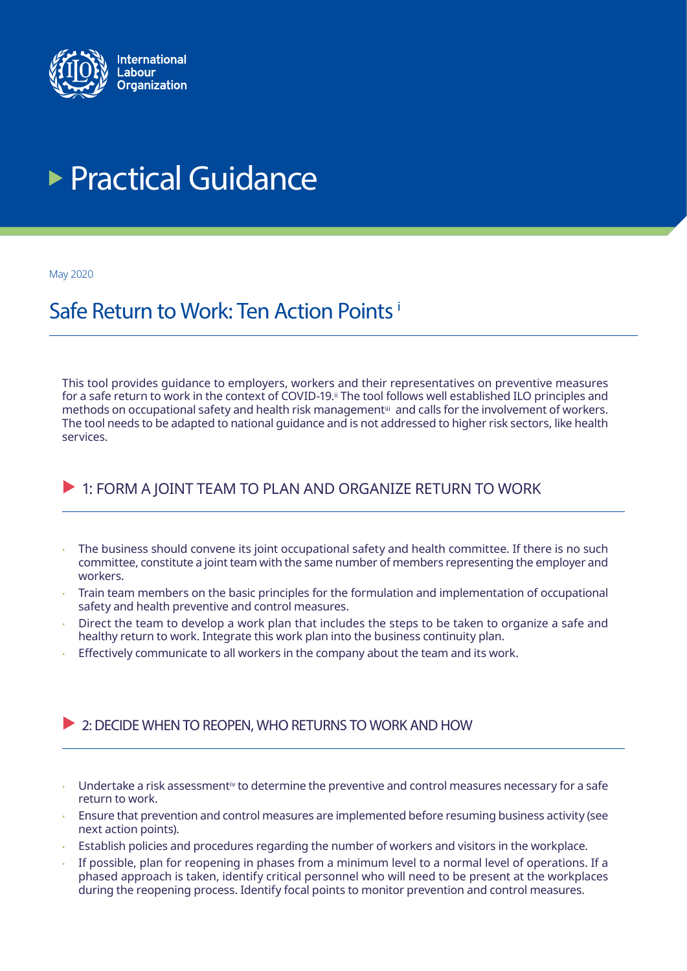<span id="page-0-0"></span>

# **Practical Guidance**

May 2020

## Safe Return to Work: Ten Action Points [i](#page-4-0)

This tool provides guidance to employers, workers and their representatives on preventive measures for a safe return to work in the context of COVID-19.<sup>ii</sup> The tool follows well established ILO principles and methods on occupational safety and health risk management[iii](#page-4-0) and calls for the involvement of workers. The tool needs to be adapted to national guidance and is not addressed to higher risk sectors, like health services.

## $\triangleright$  1: FORM A JOINT TEAM TO PLAN AND ORGANIZE RETURN TO WORK

- The business should convene its joint occupational safety and health committee. If there is no such committee, constitute a joint team with the same number of members representing the employer and workers.
- Train team members on the basic principles for the formulation and implementation of occupational safety and health preventive and control measures.
- Direct the team to develop a work plan that includes the steps to be taken to organize a safe and healthy return to work. Integrate this work plan into the business continuity plan.
- Effectively communicate to all workers in the company about the team and its work.

#### $\triangleright$  2: DECIDE WHEN TO REOPEN, WHO RETURNS TO WORK AND HOW

- Undertake a risk assessmen[tiv](#page-4-0) to determine the preventive and control measures necessary for a safe return to work.
- Ensure that prevention and control measures are implemented before resuming business activity (see next action points).
- Establish policies and procedures regarding the number of workers and visitors in the workplace.
- If possible, plan for reopening in phases from a minimum level to a normal level of operations. If a phased approach is taken, identify critical personnel who will need to be present at the workplaces during the reopening process. Identify focal points to monitor prevention and control measures.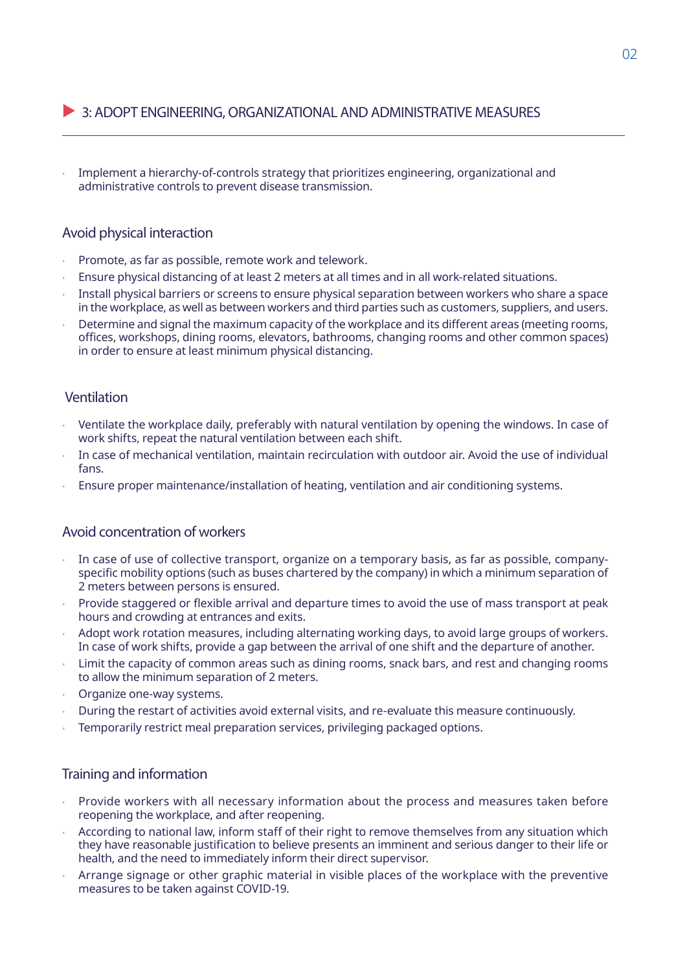#### **3: ADOPT ENGINEERING, ORGANIZATIONAL AND ADMINISTRATIVE MEASURES**

• Implement a hierarchy-of-controls strategy that prioritizes engineering, organizational and administrative controls to prevent disease transmission.

#### Avoid physical interaction

- Promote, as far as possible, remote work and telework.
- Ensure physical distancing of at least 2 meters at all times and in all work-related situations.
- Install physical barriers or screens to ensure physical separation between workers who share a space in the workplace, as well as between workers and third parties such as customers, suppliers, and users.
- Determine and signal the maximum capacity of the workplace and its different areas (meeting rooms, offices, workshops, dining rooms, elevators, bathrooms, changing rooms and other common spaces) in order to ensure at least minimum physical distancing.

#### Ventilation

- Ventilate the workplace daily, preferably with natural ventilation by opening the windows. In case of work shifts, repeat the natural ventilation between each shift.
- In case of mechanical ventilation, maintain recirculation with outdoor air. Avoid the use of individual fans.
- Ensure proper maintenance/installation of heating, ventilation and air conditioning systems.

#### Avoid concentration of workers

- In case of use of collective transport, organize on a temporary basis, as far as possible, companyspecific mobility options (such as buses chartered by the company) in which a minimum separation of 2 meters between persons is ensured.
- Provide staggered or flexible arrival and departure times to avoid the use of mass transport at peak hours and crowding at entrances and exits.
- Adopt work rotation measures, including alternating working days, to avoid large groups of workers. In case of work shifts, provide a gap between the arrival of one shift and the departure of another.
- Limit the capacity of common areas such as dining rooms, snack bars, and rest and changing rooms to allow the minimum separation of 2 meters.
- Organize one-way systems.
- During the restart of activities avoid external visits, and re-evaluate this measure continuously.
- Temporarily restrict meal preparation services, privileging packaged options.

#### Training and information

- Provide workers with all necessary information about the process and measures taken before reopening the workplace, and after reopening.
- According to national law, inform staff of their right to remove themselves from any situation which they have reasonable justification to believe presents an imminent and serious danger to their life or health, and the need to immediately inform their direct supervisor.
- Arrange signage or other graphic material in visible places of the workplace with the preventive measures to be taken against COVID-19.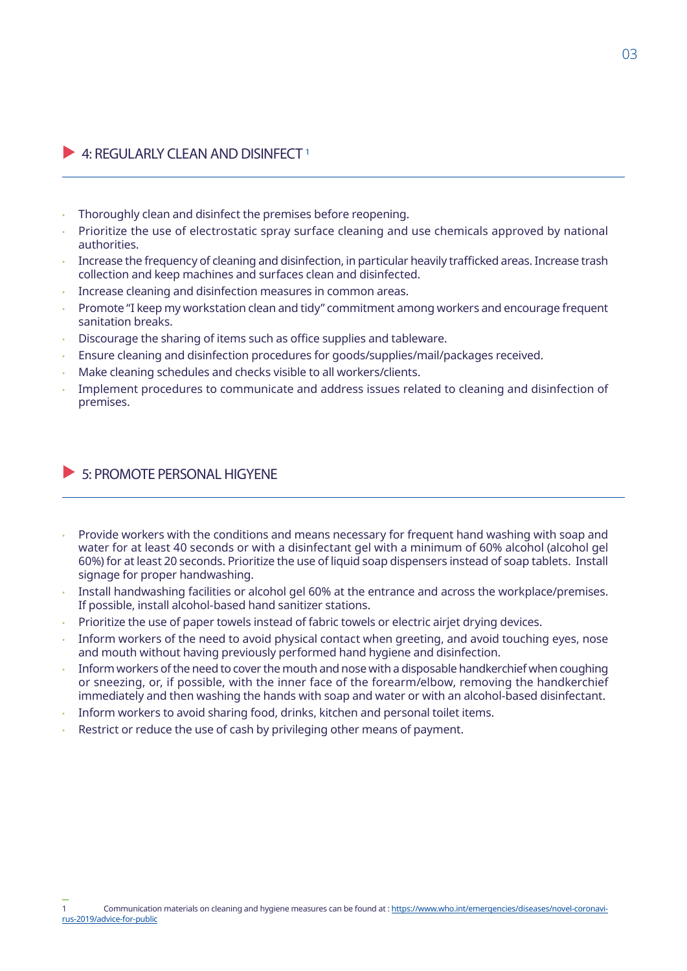#### $\blacktriangleright$  4: REGULARLY CLEAN AND DISINFECT 1

- Thoroughly clean and disinfect the premises before reopening.
- Prioritize the use of electrostatic spray surface cleaning and use chemicals approved by national authorities.
- Increase the frequency of cleaning and disinfection, in particular heavily trafficked areas. Increase trash collection and keep machines and surfaces clean and disinfected.
- Increase cleaning and disinfection measures in common areas.
- Promote "I keep my workstation clean and tidy" commitment among workers and encourage frequent sanitation breaks.
- Discourage the sharing of items such as office supplies and tableware.
- Ensure cleaning and disinfection procedures for goods/supplies/mail/packages received.
- Make cleaning schedules and checks visible to all workers/clients.
- Implement procedures to communicate and address issues related to cleaning and disinfection of premises.

#### $\triangleright$  5: PROMOTE PERSONAL HIGYENE

- Provide workers with the conditions and means necessary for frequent hand washing with soap and water for at least 40 seconds or with a disinfectant gel with a minimum of 60% alcohol (alcohol gel 60%) for at least 20 seconds. Prioritize the use of liquid soap dispensers instead of soap tablets. Install signage for proper handwashing.
- Install handwashing facilities or alcohol gel 60% at the entrance and across the workplace/premises. If possible, install alcohol-based hand sanitizer stations.
- Prioritize the use of paper towels instead of fabric towels or electric airjet drying devices.
- Inform workers of the need to avoid physical contact when greeting, and avoid touching eyes, nose and mouth without having previously performed hand hygiene and disinfection.
- Inform workers of the need to cover the mouth and nose with a disposable handkerchief when coughing or sneezing, or, if possible, with the inner face of the forearm/elbow, removing the handkerchief immediately and then washing the hands with soap and water or with an alcohol-based disinfectant.
- Inform workers to avoid sharing food, drinks, kitchen and personal toilet items.
- Restrict or reduce the use of cash by privileging other means of payment.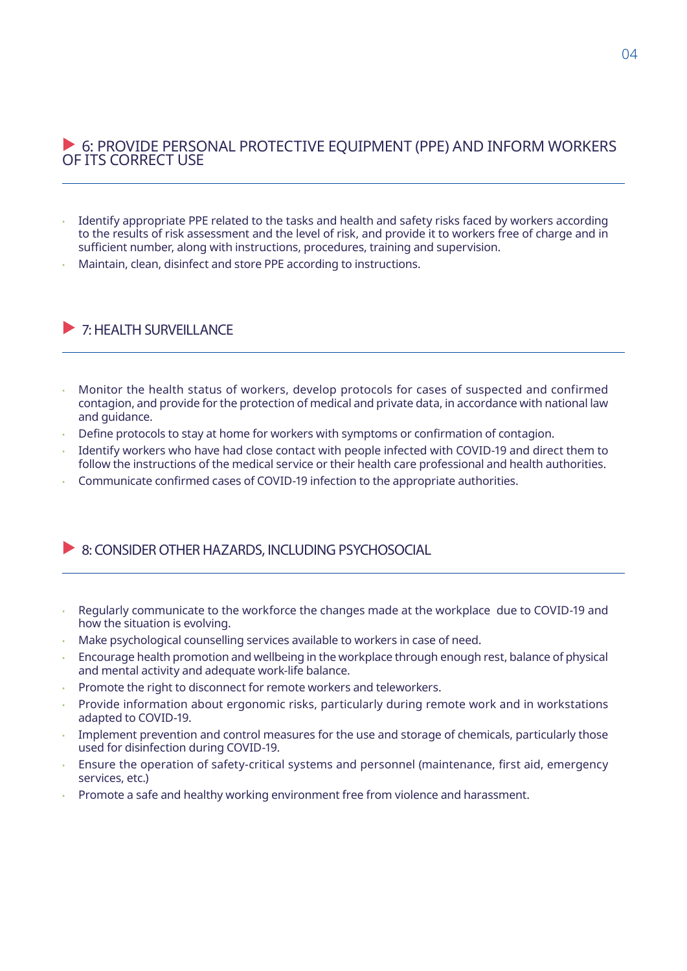#### G: PROVIDE PERSONAL PROTECTIVE EQUIPMENT (PPE) AND INFORM WORKERS OF ITS CORRECT USE

- Identify appropriate PPE related to the tasks and health and safety risks faced by workers according to the results of risk assessment and the level of risk, and provide it to workers free of charge and in sufficient number, along with instructions, procedures, training and supervision.
- Maintain, clean, disinfect and store PPE according to instructions.

### $\triangleright$  7: HEALTH SURVEILLANCE

- Monitor the health status of workers, develop protocols for cases of suspected and confirmed contagion, and provide for the protection of medical and private data, in accordance with national law and guidance.
- Define protocols to stay at home for workers with symptoms or confirmation of contagion.
- Identify workers who have had close contact with people infected with COVID-19 and direct them to follow the instructions of the medical service or their health care professional and health authorities.
- Communicate confirmed cases of COVID-19 infection to the appropriate authorities.

#### $\triangleright$  8: CONSIDER OTHER HAZARDS, INCLUDING PSYCHOSOCIAL

- Regularly communicate to the workforce the changes made at the workplace due to COVID-19 and how the situation is evolving.
- Make psychological counselling services available to workers in case of need.
- Encourage health promotion and wellbeing in the workplace through enough rest, balance of physical and mental activity and adequate work-life balance.
- Promote the right to disconnect for remote workers and teleworkers.
- Provide information about ergonomic risks, particularly during remote work and in workstations adapted to COVID-19.
- Implement prevention and control measures for the use and storage of chemicals, particularly those used for disinfection during COVID-19.
- Ensure the operation of safety-critical systems and personnel (maintenance, first aid, emergency services, etc.)
- Promote a safe and healthy working environment free from violence and harassment.